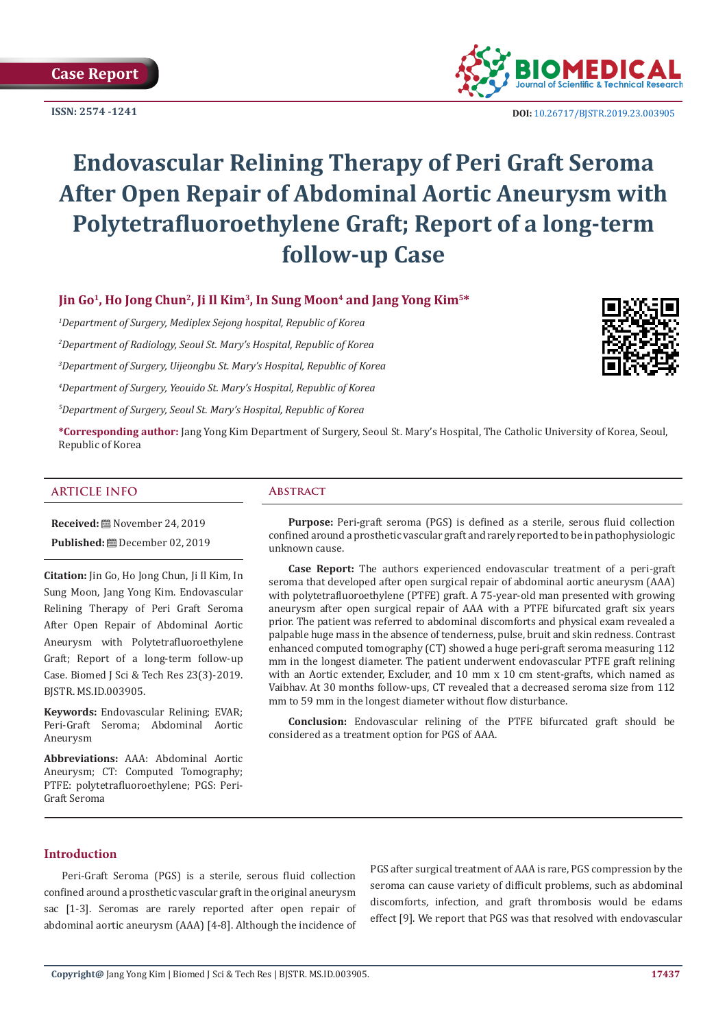**ISSN: 2574 -1241**



 **DOI:** [10.26717/BJSTR.2019.23.0039](http://dx.doi.org/10.26717/BJSTR.2019.23.003905)05

# **Endovascular Relining Therapy of Peri Graft Seroma After Open Repair of Abdominal Aortic Aneurysm with Polytetrafluoroethylene Graft; Report of a long-term follow-up Case**

# **Jin Go1, Ho Jong Chun2, Ji Il Kim3, In Sung Moon4 and Jang Yong Kim5\***

*1 Department of Surgery, Mediplex Sejong hospital, Republic of Korea*

*2 Department of Radiology, Seoul St. Mary's Hospital, Republic of Korea*

*3 Department of Surgery, Uijeongbu St. Mary's Hospital, Republic of Korea*

*4 Department of Surgery, Yeouido St. Mary's Hospital, Republic of Korea*

*5 Department of Surgery, Seoul St. Mary's Hospital, Republic of Korea*



**\*Corresponding author:** Jang Yong Kim Department of Surgery, Seoul St. Mary's Hospital, The Catholic University of Korea, Seoul, Republic of Korea

#### **ARTICLE INFO Abstract**

**Received:** November 24, 2019 **Published:** December 02, 2019

**Citation:** Jin Go, Ho Jong Chun, Ji Il Kim, In Sung Moon, Jang Yong Kim. Endovascular Relining Therapy of Peri Graft Seroma After Open Repair of Abdominal Aortic Aneurysm with Polytetrafluoroethylene Graft; Report of a long-term follow-up Case. Biomed J Sci & Tech Res 23(3)-2019. BJSTR. MS.ID.003905.

**Keywords:** Endovascular Relining; EVAR; Peri-Graft Seroma; Abdominal Aortic Aneurysm

**Abbreviations:** AAA: Abdominal Aortic Aneurysm; CT: Computed Tomography; PTFE: polytetrafluoroethylene; PGS: Peri-Graft Seroma

**Purpose:** Peri-graft seroma (PGS) is defined as a sterile, serous fluid collection confined around a prosthetic vascular graft and rarely reported to be in pathophysiologic unknown cause.

**Case Report:** The authors experienced endovascular treatment of a peri-graft seroma that developed after open surgical repair of abdominal aortic aneurysm (AAA) with polytetrafluoroethylene (PTFE) graft. A 75-year-old man presented with growing aneurysm after open surgical repair of AAA with a PTFE bifurcated graft six years prior. The patient was referred to abdominal discomforts and physical exam revealed a palpable huge mass in the absence of tenderness, pulse, bruit and skin redness. Contrast enhanced computed tomography (CT) showed a huge peri-graft seroma measuring 112 mm in the longest diameter. The patient underwent endovascular PTFE graft relining with an Aortic extender, Excluder, and 10 mm x 10 cm stent-grafts, which named as Vaibhav. At 30 months follow-ups, CT revealed that a decreased seroma size from 112 mm to 59 mm in the longest diameter without flow disturbance.

**Conclusion:** Endovascular relining of the PTFE bifurcated graft should be considered as a treatment option for PGS of AAA.

### **Introduction**

Peri-Graft Seroma (PGS) is a sterile, serous fluid collection confined around a prosthetic vascular graft in the original aneurysm sac [1-3]. Seromas are rarely reported after open repair of abdominal aortic aneurysm (AAA) [4-8]. Although the incidence of

PGS after surgical treatment of AAA is rare, PGS compression by the seroma can cause variety of difficult problems, such as abdominal discomforts, infection, and graft thrombosis would be edams effect [9]. We report that PGS was that resolved with endovascular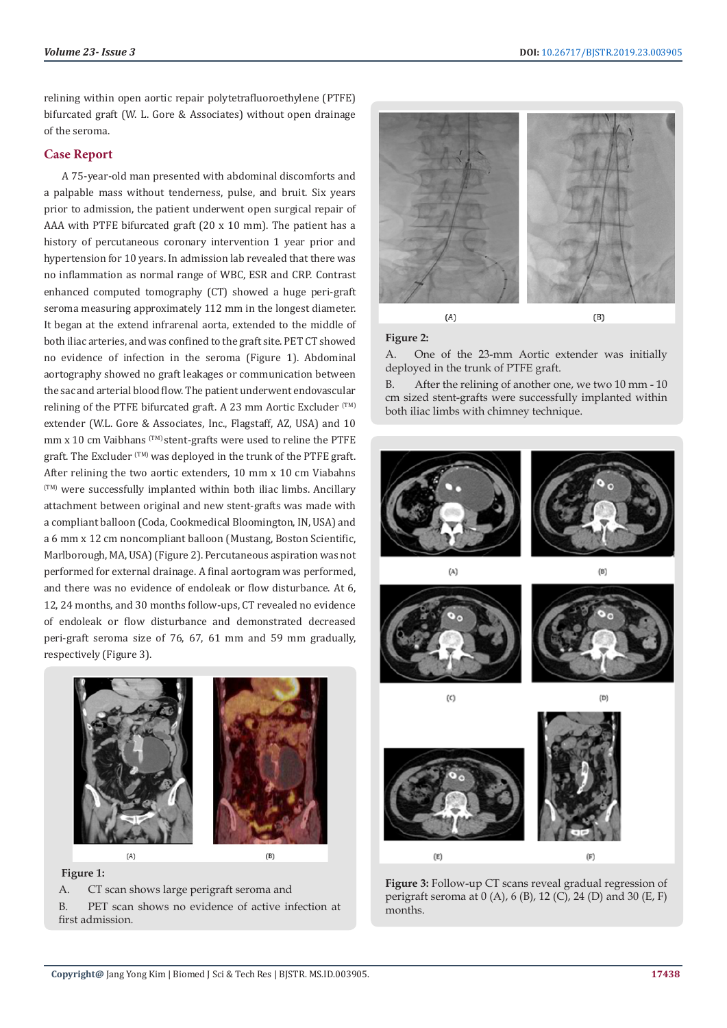relining within open aortic repair polytetrafluoroethylene (PTFE) bifurcated graft (W. L. Gore & Associates) without open drainage of the seroma.

### **Case Report**

A 75-year-old man presented with abdominal discomforts and a palpable mass without tenderness, pulse, and bruit. Six years prior to admission, the patient underwent open surgical repair of AAA with PTFE bifurcated graft (20 x 10 mm). The patient has a history of percutaneous coronary intervention 1 year prior and hypertension for 10 years. In admission lab revealed that there was no inflammation as normal range of WBC, ESR and CRP. Contrast enhanced computed tomography (CT) showed a huge peri-graft seroma measuring approximately 112 mm in the longest diameter. It began at the extend infrarenal aorta, extended to the middle of both iliac arteries, and was confined to the graft site. PET CT showed no evidence of infection in the seroma (Figure 1). Abdominal aortography showed no graft leakages or communication between the sac and arterial blood flow. The patient underwent endovascular relining of the PTFE bifurcated graft. A 23 mm Aortic Excluder (TM) extender (W.L. Gore & Associates, Inc., Flagstaff, AZ, USA) and 10 mm x 10 cm Vaibhans (TM) stent-grafts were used to reline the PTFE graft. The Excluder (TM) was deployed in the trunk of the PTFE graft. After relining the two aortic extenders, 10 mm x 10 cm Viabahns  $(T^{M})$  were successfully implanted within both iliac limbs. Ancillary attachment between original and new stent-grafts was made with a compliant balloon (Coda, Cookmedical Bloomington, IN, USA) and a 6 mm x 12 cm noncompliant balloon (Mustang, Boston Scientific, Marlborough, MA, USA) (Figure 2). Percutaneous aspiration was not performed for external drainage. A final aortogram was performed, and there was no evidence of endoleak or flow disturbance. At 6, 12, 24 months, and 30 months follow-ups, CT revealed no evidence of endoleak or flow disturbance and demonstrated decreased peri-graft seroma size of 76, 67, 61 mm and 59 mm gradually, respectively (Figure 3).



#### **Figure 1:**

first admission.

A. CT scan shows large perigraft seroma and B. PET scan shows no evidence of active infection at



# **Figure 2:**

A. One of the 23-mm Aortic extender was initially deployed in the trunk of PTFE graft.

B. After the relining of another one, we two 10 mm - 10 cm sized stent-grafts were successfully implanted within both iliac limbs with chimney technique.



**Figure 3:** Follow-up CT scans reveal gradual regression of perigraft seroma at 0 (A), 6 (B), 12 (C), 24 (D) and 30 (E, F) months.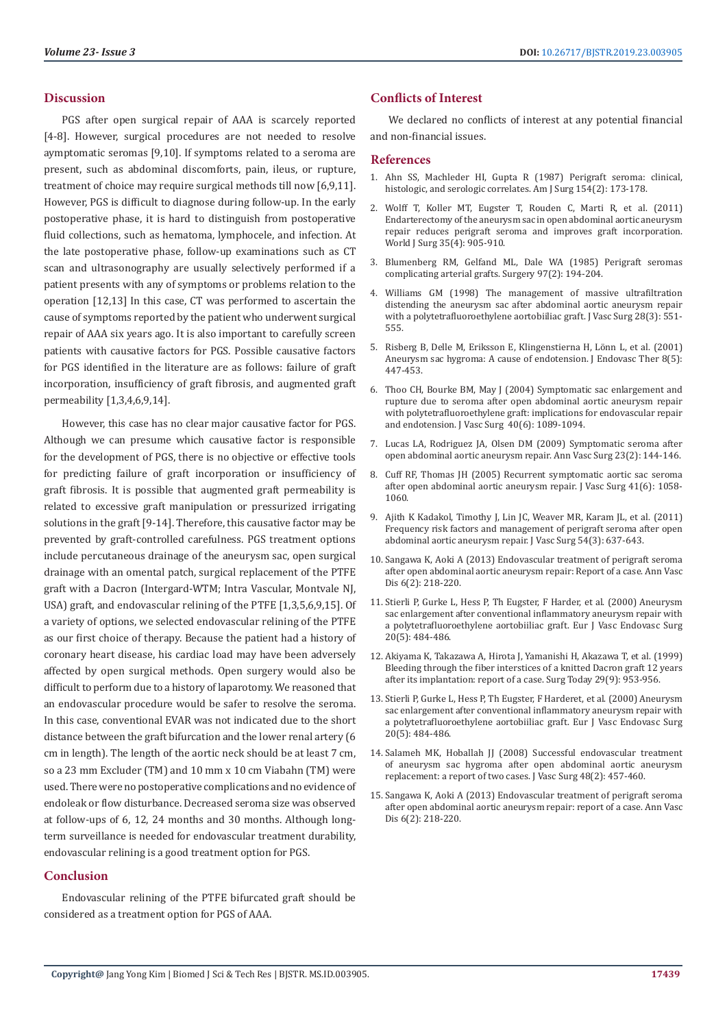#### **Discussion**

PGS after open surgical repair of AAA is scarcely reported [4-8]. However, surgical procedures are not needed to resolve aymptomatic seromas [9,10]. If symptoms related to a seroma are present, such as abdominal discomforts, pain, ileus, or rupture, treatment of choice may require surgical methods till now [6,9,11]. However, PGS is difficult to diagnose during follow-up. In the early postoperative phase, it is hard to distinguish from postoperative fluid collections, such as hematoma, lymphocele, and infection. At the late postoperative phase, follow-up examinations such as CT scan and ultrasonography are usually selectively performed if a patient presents with any of symptoms or problems relation to the operation [12,13] In this case, CT was performed to ascertain the cause of symptoms reported by the patient who underwent surgical repair of AAA six years ago. It is also important to carefully screen patients with causative factors for PGS. Possible causative factors for PGS identified in the literature are as follows: failure of graft incorporation, insufficiency of graft fibrosis, and augmented graft permeability [1,3,4,6,9,14].

However, this case has no clear major causative factor for PGS. Although we can presume which causative factor is responsible for the development of PGS, there is no objective or effective tools for predicting failure of graft incorporation or insufficiency of graft fibrosis. It is possible that augmented graft permeability is related to excessive graft manipulation or pressurized irrigating solutions in the graft [9-14]. Therefore, this causative factor may be prevented by graft-controlled carefulness. PGS treatment options include percutaneous drainage of the aneurysm sac, open surgical drainage with an omental patch, surgical replacement of the PTFE graft with a Dacron (Intergard-WTM; Intra Vascular, Montvale NJ, USA) graft, and endovascular relining of the PTFE [1,3,5,6,9,15]. Of a variety of options, we selected endovascular relining of the PTFE as our first choice of therapy. Because the patient had a history of coronary heart disease, his cardiac load may have been adversely affected by open surgical methods. Open surgery would also be difficult to perform due to a history of laparotomy. We reasoned that an endovascular procedure would be safer to resolve the seroma. In this case, conventional EVAR was not indicated due to the short distance between the graft bifurcation and the lower renal artery (6 cm in length). The length of the aortic neck should be at least 7 cm, so a 23 mm Excluder (TM) and 10 mm x 10 cm Viabahn (TM) were used. There were no postoperative complications and no evidence of endoleak or flow disturbance. Decreased seroma size was observed at follow-ups of 6, 12, 24 months and 30 months. Although longterm surveillance is needed for endovascular treatment durability, endovascular relining is a good treatment option for PGS.

### **Conclusion**

Endovascular relining of the PTFE bifurcated graft should be considered as a treatment option for PGS of AAA.

#### **Conflicts of Interest**

We declared no conflicts of interest at any potential financial and non-financial issues.

#### **References**

- 1. [Ahn SS, Machleder HI, Gupta R \(1987\) Perigraft seroma: clinical,](https://www.ncbi.nlm.nih.gov/pubmed/2957930) [histologic, and serologic correlates. Am J Surg 154\(2\): 173-178.](https://www.ncbi.nlm.nih.gov/pubmed/2957930)
- 2. [Wolff T, Koller MT, Eugster T, Rouden C, Marti R, et al. \(2011\)](https://www.ncbi.nlm.nih.gov/pubmed/21184073) [Endarterectomy of the aneurysm sac in open abdominal aortic aneurysm](https://www.ncbi.nlm.nih.gov/pubmed/21184073) [repair reduces perigraft seroma and improves graft incorporation.](https://www.ncbi.nlm.nih.gov/pubmed/21184073) [World J Surg 35\(4\): 905-910.](https://www.ncbi.nlm.nih.gov/pubmed/21184073)
- 3. [Blumenberg RM, Gelfand ML, Dale WA \(1985\) Perigraft seromas](https://www.ncbi.nlm.nih.gov/pubmed/3969623) [complicating arterial grafts. Surgery 97\(2\): 194-204.](https://www.ncbi.nlm.nih.gov/pubmed/3969623)
- 4. [Williams GM \(1998\) The management of massive ultrafiltration](https://www.ncbi.nlm.nih.gov/pubmed/9737468) [distending the aneurysm sac after abdominal aortic aneurysm repair](https://www.ncbi.nlm.nih.gov/pubmed/9737468) [with a polytetrafluoroethylene aortobiiliac graft. J Vasc Surg 28\(3\): 551-](https://www.ncbi.nlm.nih.gov/pubmed/9737468) [555.](https://www.ncbi.nlm.nih.gov/pubmed/9737468)
- 5. [Risberg B, Delle M, Eriksson E, Klingenstierna H, Lönn L, et al. \(2001\)](https://www.ncbi.nlm.nih.gov/pubmed/11718401) [Aneurysm sac hygroma: A cause of endotension. J Endovasc Ther 8\(5\):](https://www.ncbi.nlm.nih.gov/pubmed/11718401) [447-453.](https://www.ncbi.nlm.nih.gov/pubmed/11718401)
- 6. [Thoo CH, Bourke BM, May J \(2004\) Symptomatic sac enlargement and](https://www.ncbi.nlm.nih.gov/pubmed/15622360) [rupture due to seroma after open abdominal aortic aneurysm repair](https://www.ncbi.nlm.nih.gov/pubmed/15622360) [with polytetrafluoroethylene graft: implications for endovascular repair](https://www.ncbi.nlm.nih.gov/pubmed/15622360) [and endotension. J Vasc Surg 40\(6\): 1089-1094.](https://www.ncbi.nlm.nih.gov/pubmed/15622360)
- 7. [Lucas LA, Rodriguez JA, Olsen DM \(2009\) Symptomatic seroma after](https://www.ncbi.nlm.nih.gov/pubmed/18502606) [open abdominal aortic aneurysm repair. Ann Vasc Surg 23\(2\): 144-146.](https://www.ncbi.nlm.nih.gov/pubmed/18502606)
- 8. [Cuff RF, Thomas JH \(2005\) Recurrent symptomatic aortic sac seroma](https://www.ncbi.nlm.nih.gov/pubmed/15944610) [after open abdominal aortic aneurysm repair. J Vasc Surg 41\(6\): 1058-](https://www.ncbi.nlm.nih.gov/pubmed/15944610) [1060.](https://www.ncbi.nlm.nih.gov/pubmed/15944610)
- 9. [Ajith K Kadakol, Timothy J, Lin JC, Weaver MR, Karam JL, et al. \(2011\)](https://www.ncbi.nlm.nih.gov/pubmed/21620628) [Frequency risk factors and management of perigraft seroma after open](https://www.ncbi.nlm.nih.gov/pubmed/21620628) [abdominal aortic aneurysm repair. J Vasc Surg 54\(3\): 637-643.](https://www.ncbi.nlm.nih.gov/pubmed/21620628)
- 10. [Sangawa K, Aoki A \(2013\) Endovascular treatment of perigraft seroma](https://www.ncbi.nlm.nih.gov/pmc/articles/PMC3692997/) [after open abdominal aortic aneurysm repair: Report of a case. Ann Vasc](https://www.ncbi.nlm.nih.gov/pmc/articles/PMC3692997/) [Dis 6\(2\): 218-220.](https://www.ncbi.nlm.nih.gov/pmc/articles/PMC3692997/)
- 11. [Stierli P, Gurke L, Hess P, Th Eugster, F Harder, et al. \(2000\) Aneurysm](https://www.ejves.com/article/S1078-5884(00)91204-8/fulltext) [sac enlargement after conventional inflammatory aneurysm repair with](https://www.ejves.com/article/S1078-5884(00)91204-8/fulltext) [a polytetrafluoroethylene aortobiiliac graft. Eur J Vasc Endovasc Surg](https://www.ejves.com/article/S1078-5884(00)91204-8/fulltext) [20\(5\): 484-486.](https://www.ejves.com/article/S1078-5884(00)91204-8/fulltext)
- 12. [Akiyama K, Takazawa A, Hirota J, Yamanishi H, Akazawa T, et al. \(1999\)](https://link.springer.com/article/10.1007/BF02482795) [Bleeding through the fiber interstices of a knitted Dacron graft 12 years](https://link.springer.com/article/10.1007/BF02482795) [after its implantation: report of a case. Surg Today 29\(9\): 953-956.](https://link.springer.com/article/10.1007/BF02482795)
- 13. [Stierli P, Gurke L, Hess P, Th Eugster, F Harderet, et al. \(2000\) Aneurysm](https://www.ejves.com/article/S1078-5884(00)91204-8/fulltext) [sac enlargement after conventional inflammatory aneurysm repair with](https://www.ejves.com/article/S1078-5884(00)91204-8/fulltext) [a polytetrafluoroethylene aortobiiliac graft. Eur J Vasc Endovasc Surg](https://www.ejves.com/article/S1078-5884(00)91204-8/fulltext) [20\(5\): 484-486.](https://www.ejves.com/article/S1078-5884(00)91204-8/fulltext)
- 14. [Salameh MK, Hoballah JJ \(2008\) Successful endovascular treatment](https://www.ncbi.nlm.nih.gov/pubmed/18644488) [of aneurysm sac hygroma after open abdominal aortic aneurysm](https://www.ncbi.nlm.nih.gov/pubmed/18644488) [replacement: a report of two cases. J Vasc Surg 48\(2\): 457-460.](https://www.ncbi.nlm.nih.gov/pubmed/18644488)
- 15. [Sangawa K, Aoki A \(2013\) Endovascular treatment of perigraft seroma](https://www.ncbi.nlm.nih.gov/pubmed/23825508) [after open abdominal aortic aneurysm repair: report of a case. Ann Vasc](https://www.ncbi.nlm.nih.gov/pubmed/23825508) [Dis 6\(2\): 218-220.](https://www.ncbi.nlm.nih.gov/pubmed/23825508)